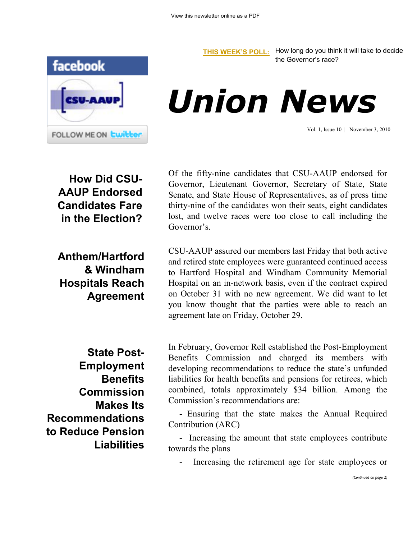

**[THIS WEEK'S POLL:](http://www.csuaaup.org/)** How long do you think it will take to decide the Governor's race?

*Union News*

Vol. 1, Issue 10 | November 3, 2010

**How Did CSU-AAUP Endorsed Candidates Fare in the Election?**

**Anthem/Hartford & Windham Hospitals Reach Agreement** Of the fifty-nine candidates that CSU-AAUP endorsed for Governor, Lieutenant Governor, Secretary of State, State Senate, and State House of Representatives, as of press time thirty-nine of the candidates won their seats, eight candidates lost, and twelve races were too close to call including the Governor's.

CSU-AAUP assured our members last Friday that both active and retired state employees were guaranteed continued access to Hartford Hospital and Windham Community Memorial Hospital on an in-network basis, even if the contract expired on October 31 with no new agreement. We did want to let you know thought that the parties were able to reach an agreement late on Friday, October 29.

**State Post-Employment Benefits Commission Makes Its Recommendations to Reduce Pension Liabilities**  In February, Governor Rell established the Post-Employment Benefits Commission and charged its members with developing recommendations to reduce the state's unfunded liabilities for health benefits and pensions for retirees, which combined, totals approximately \$34 billion. Among the Commission's recommendations are:

 - Ensuring that the state makes the Annual Required Contribution (ARC)

 - Increasing the amount that state employees contribute towards the plans

Increasing the retirement age for state employees or